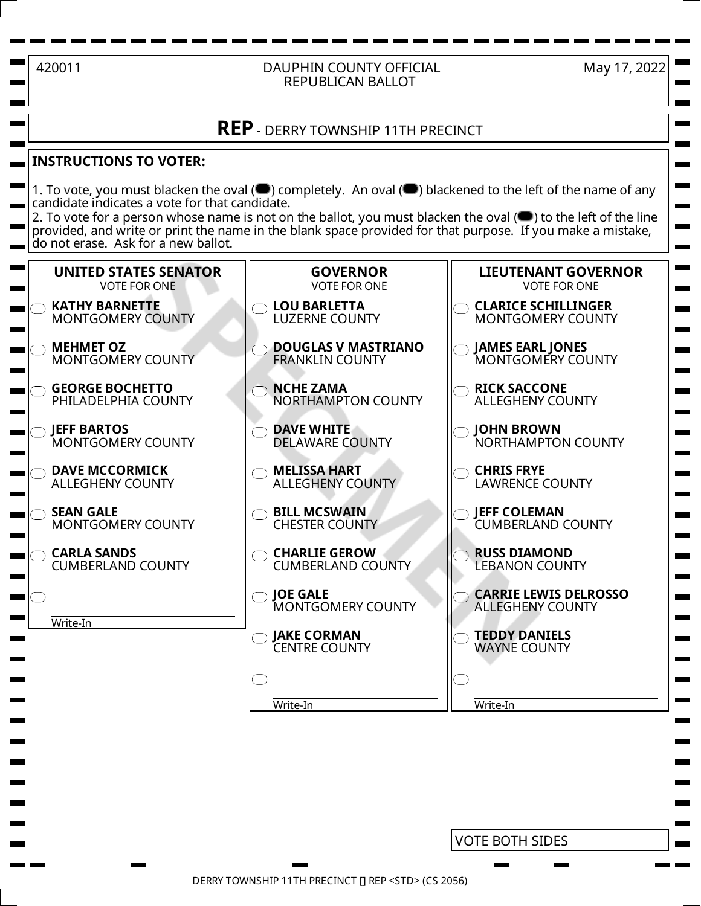## 420011 DAUPHIN COUNTY OFFICIAL REPUBLICAN BALLOT

May 17, 2022

## **REP**- DERRY TOWNSHIP 11TH PRECINCT

## **INSTRUCTIONS TO VOTER:**

1. To vote, you must blacken the oval ( $\blacksquare$ ) completely. An oval ( $\blacksquare$ ) blackened to the left of the name of any candidate indicates a vote for that candidate.

2. To vote for a person whose name is not on the ballot, you must blacken the oval  $($ **)** to the left of the line provided, and write or print the name in the blank space provided for that purpose. If you make a mistake, do not erase. Ask for a new ballot.